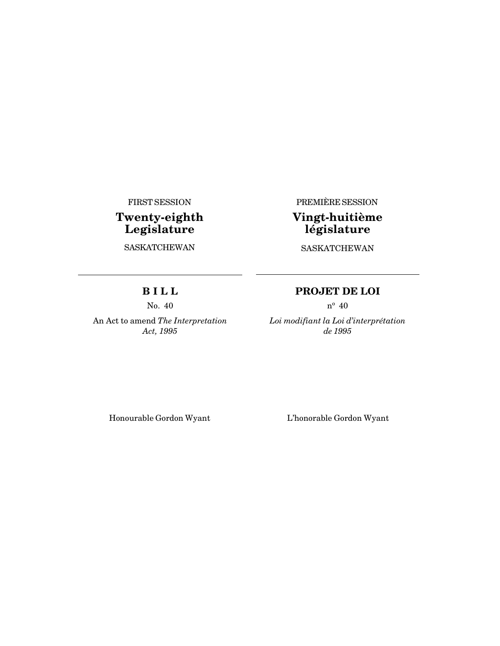FIRST SESSION

# **Twenty-eighth Legislature**

**SASKATCHEWAN** 

PREMIÈRE SESSION

# **Vingt-huitième législature**

SASKATCHEWAN

## **B I L L**

No. 40

An Act to amend *The Interpretation Act, 1995*

## **PROJET DE LOI**

 $n^{\circ}$  40

*Loi modifiant la Loi d'interprétation de 1995*

Honourable Gordon Wyant L'honorable Gordon Wyant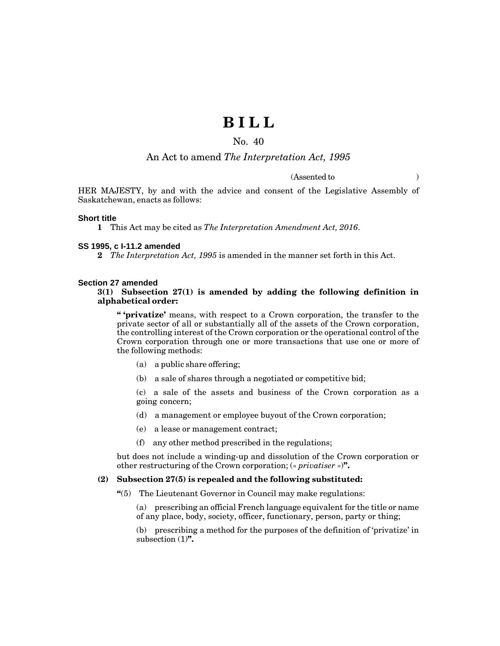# **B I L L**

## No. 40

## An Act to amend *The Interpretation Act, 1995*

(Assented to )

HER MAJESTY, by and with the advice and consent of the Legislative Assembly of Saskatchewan, enacts as follows:

#### **Short title**

**1** This Act may be cited as *The Interpretation Amendment Act, 2016*.

#### **SS 1995, c I-11.2 amended**

**2** *The Interpretation Act, 1995* is amended in the manner set forth in this Act.

#### **Section 27 amended**

#### **3(1) Subsection 27(1) is amended by adding the following definition in alphabetical order:**

**" 'privatize'** means, with respect to a Crown corporation, the transfer to the private sector of all or substantially all of the assets of the Crown corporation, the controlling interest of the Crown corporation or the operational control of the Crown corporation through one or more transactions that use one or more of the following methods:

- (a) a public share offering;
- (b) a sale of shares through a negotiated or competitive bid;

(c) a sale of the assets and business of the Crown corporation as a going concern;

- (d) a management or employee buyout of the Crown corporation;
- (e) a lease or management contract;
- (f) any other method prescribed in the regulations;

but does not include a winding-up and dissolution of the Crown corporation or other restructuring of the Crown corporation; (« *privatiser* »)**".**

#### **(2) Subsection 27(5) is repealed and the following substituted:**

**"**(5) The Lieutenant Governor in Council may make regulations:

(a) prescribing an official French language equivalent for the title or name of any place, body, society, officer, functionary, person, party or thing;

(b) prescribing a method for the purposes of the definition of 'privatize' in subsection (1)**".**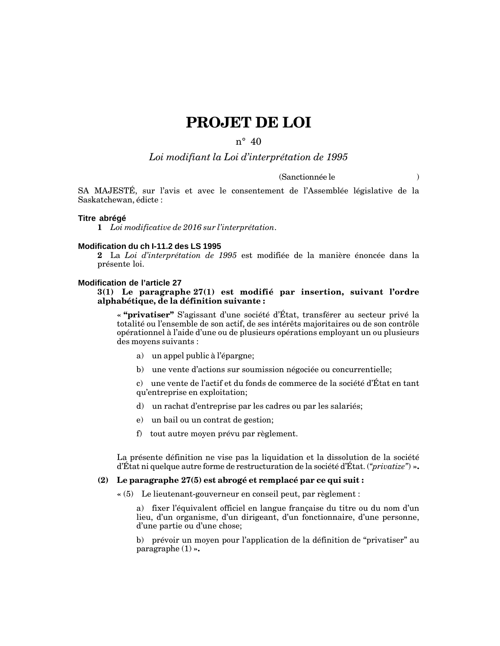# **PROJET DE LOI**

## $n^{\circ}$  40

## *Loi modifiant la Loi d'interprétation de 1995*

## (Sanctionnée le )

SA MAJESTÉ, sur l'avis et avec le consentement de l'Assemblée législative de la Saskatchewan, édicte :

#### **Titre abrégé**

**1** *Loi modificative de 2016 sur l'interprétation*.

#### **Modification du ch I-11.2 des LS 1995**

**2** La *Loi d'interprétation de 1995* est modifiée de la manière énoncée dans la présente loi.

#### **Modification de l'article 27**

### **3(1) Le paragraphe 27(1) est modifié par insertion, suivant l'ordre alphabétique, de la définition suivante :**

**« "privatiser"** S'agissant d'une société d'État, transférer au secteur privé la totalité ou l'ensemble de son actif, de ses intérêts majoritaires ou de son contrôle opérationnel à l'aide d'une ou de plusieurs opérations employant un ou plusieurs des moyens suivants :

- a) un appel public à l'épargne;
- b) une vente d'actions sur soumission négociée ou concurrentielle;

c) une vente de l'actif et du fonds de commerce de la société d'État en tant qu'entreprise en exploitation;

- d) un rachat d'entreprise par les cadres ou par les salariés;
- e) un bail ou un contrat de gestion;
- f) tout autre moyen prévu par règlement.

La présente définition ne vise pas la liquidation et la dissolution de la société d'État ni quelque autre forme de restructuration de la société d'État. (*"privatize"*) **».**

### **(2) Le paragraphe 27(5) est abrogé et remplacé par ce qui suit :**

**«** (5) Le lieutenant-gouverneur en conseil peut, par règlement :

a) fixer l'équivalent officiel en langue française du titre ou du nom d'un lieu, d'un organisme, d'un dirigeant, d'un fonctionnaire, d'une personne, d'une partie ou d'une chose;

b) prévoir un moyen pour l'application de la définition de "privatiser" au paragraphe (1) **».**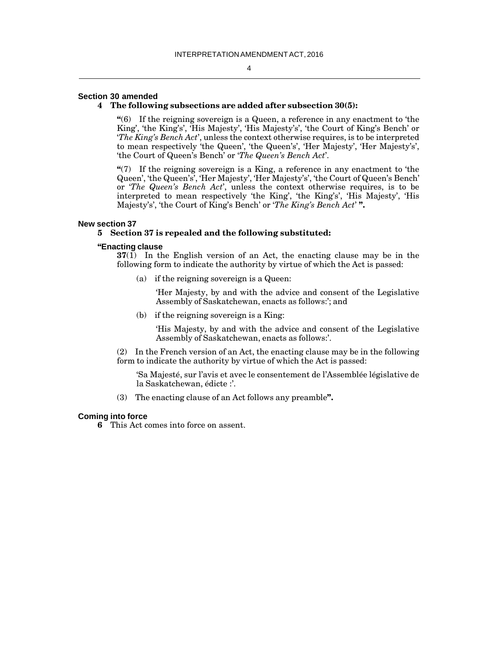#### **Section 30 amended**

#### **4 The following subsections are added after subsection 30(5):**

**"**(6) If the reigning sovereign is a Queen, a reference in any enactment to 'the King', 'the King's', 'His Majesty', 'His Majesty's', 'the Court of King's Bench' or '*The King's Bench Act*', unless the context otherwise requires, is to be interpreted to mean respectively 'the Queen', 'the Queen's', 'Her Majesty', 'Her Majesty's', 'the Court of Queen's Bench' or '*The Queen's Bench Act*'.

**"**(7) If the reigning sovereign is a King, a reference in any enactment to 'the Queen', 'the Queen's', 'Her Majesty', 'Her Majesty's', 'the Court of Queen's Bench' or '*The Queen's Bench Act*', unless the context otherwise requires, is to be interpreted to mean respectively 'the King', 'the King's', 'His Majesty', 'His Majesty's', 'the Court of King's Bench' or '*The King's Bench Act*' **".**

#### **New section 37**

#### **5 Section 37 is repealed and the following substituted:**

#### **"Enacting clause**

**37**(1) In the English version of an Act, the enacting clause may be in the following form to indicate the authority by virtue of which the Act is passed:

(a) if the reigning sovereign is a Queen:

'Her Majesty, by and with the advice and consent of the Legislative Assembly of Saskatchewan, enacts as follows:'; and

(b) if the reigning sovereign is a King:

'His Majesty, by and with the advice and consent of the Legislative Assembly of Saskatchewan, enacts as follows:'.

(2) In the French version of an Act, the enacting clause may be in the following form to indicate the authority by virtue of which the Act is passed:

'Sa Majesté, sur l'avis et avec le consentement de l'Assemblée législative de la Saskatchewan, édicte :'.

(3) The enacting clause of an Act follows any preamble**".**

#### **Coming into force**

**6** This Act comes into force on assent.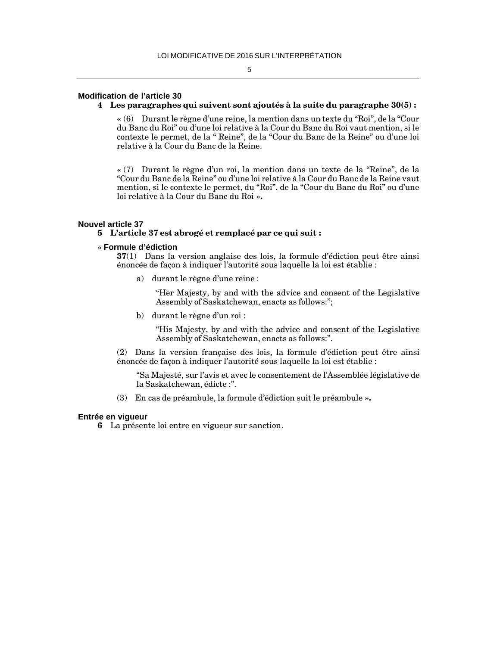#### 5

## **Modification de l'article 30**

#### **4 Les paragraphes qui suivent sont ajoutés à la suite du paragraphe 30(5) :**

**«** (6) Durant le règne d'une reine, la mention dans un texte du "Roi", de la "Cour du Banc du Roi" ou d'une loi relative à la Cour du Banc du Roi vaut mention, si le contexte le permet, de la " Reine", de la "Cour du Banc de la Reine" ou d'une loi relative à la Cour du Banc de la Reine.

**«** (7) Durant le règne d'un roi, la mention dans un texte de la "Reine", de la "Cour du Banc de la Reine" ou d'une loi relative à la Cour du Banc de la Reine vaut mention, si le contexte le permet, du "Roi", de la "Cour du Banc du Roi" ou d'une loi relative à la Cour du Banc du Roi **».**

#### **Nouvel article 37**

## **5 L'article 37 est abrogé et remplacé par ce qui suit :**

### **« Formule d'édiction**

**37**(1) Dans la version anglaise des lois, la formule d'édiction peut être ainsi énoncée de façon à indiquer l'autorité sous laquelle la loi est établie :

a) durant le règne d'une reine :

"Her Majesty, by and with the advice and consent of the Legislative Assembly of Saskatchewan, enacts as follows:";

b) durant le règne d'un roi :

"His Majesty, by and with the advice and consent of the Legislative Assembly of Saskatchewan, enacts as follows:".

(2) Dans la version française des lois, la formule d'édiction peut être ainsi énoncée de façon à indiquer l'autorité sous laquelle la loi est établie :

"Sa Majesté, sur l'avis et avec le consentement de l'Assemblée législative de la Saskatchewan, édicte :".

(3) En cas de préambule, la formule d'édiction suit le préambule **».**

#### **Entrée en vigueur**

**6** La présente loi entre en vigueur sur sanction.